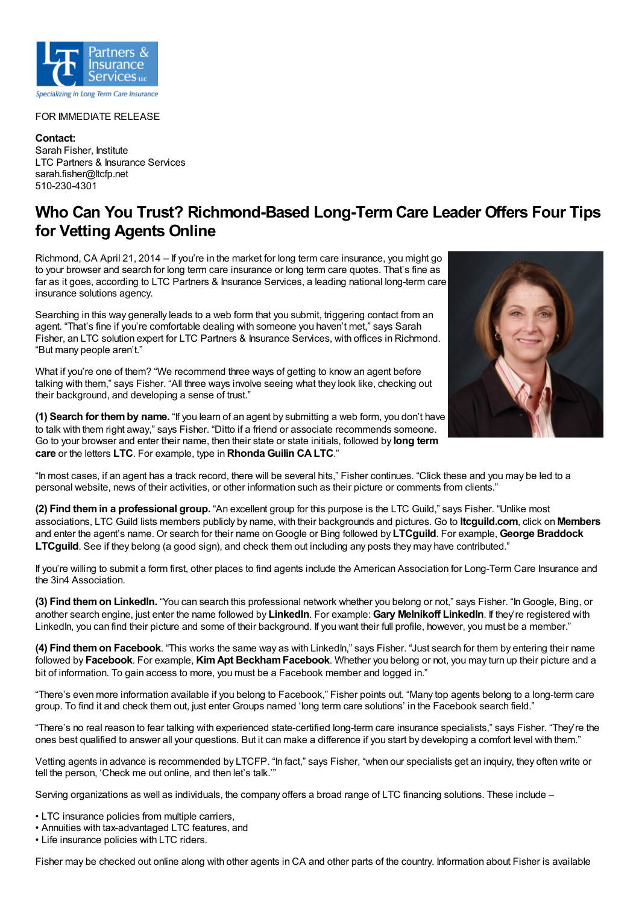

## FOR IMMEDIATE RELEASE

**Contact:** Sarah Fisher, Institute LTC Partners & Insurance Services sarah.fisher@ltcfp.net 510-230-4301

## **Who Can You Trust? Richmond-Based Long-Term Care Leader Offers Four Tips for Vetting Agents Online**

Richmond, CA April 21, 2014 – If you're in the market for long term care insurance, you might go to your browser and search for long term care insurance or long term care quotes. That's fine as far as it goes, according to LTC Partners & Insurance Services, a leading national long-term care insurance solutions agency.

Searching in this way generally leads to a web form that you submit, triggering contact from an agent. "That's fine if you're comfortable dealing with someone you haven't met," says Sarah Fisher, an LTC solution expert for LTC Partners & Insurance Services, with offices in Richmond. "But many people aren't."

What if you're one of them? "We recommend three ways of getting to know an agent before talking with them," says Fisher. "All three ways involve seeing what they look like, checking out their background, and developing a sense of trust."

**(1) Search for themby name.** "If you learn of an agent by submitting a web form, you don't have to talk with them right away," says Fisher. "Ditto if a friend or associate recommends someone. Go to your browser and enter their name, then their state or state initials, followed by **long term care** or the letters **LTC**. For example, type in **Rhonda Guilin CALTC**."



"In most cases, if an agent has a track record, there will be several hits," Fisher continues. "Click these and you may be led to a personal website, news of their activities, or other information such as their picture or comments from clients."

**(2) Find themin a professional group.** "An excellent group for this purpose is the LTC Guild," says Fisher. "Unlike most associations, LTC Guild lists members publicly by name, with their backgrounds and pictures. Go to **ltcguild.com**, click on **Members** and enter the agent's name. Or search for their name onGoogle or Bing followed by **LTCguild**. For example, **George Braddock LTCguild**. See if they belong (a good sign), and check them out including any posts they may have contributed."

If you're willing to submit a form first, other places to find agents include the American Association for Long-Term Care Insurance and the 3in4 Association.

**(3) Find themon LinkedIn.** "You can search this professional network whether you belong or not," says Fisher. "InGoogle, Bing, or another search engine, just enter the name followed by **LinkedIn**. For example: **Gary Melnikoff LinkedIn**. If they're registered with LinkedIn, you can find their picture and some of their background. If you want their full profile, however, you must be a member."

**(4) Find themon Facebook**. "This works the same way as with LinkedIn," says Fisher. "Just search for them by entering their name followed by **Facebook**. For example, **KimApt BeckhamFacebook**. Whether you belong or not, you may turn up their picture and a bit of information. To gain access to more, you must be a Facebook member and logged in."

"There's even more information available if you belong to Facebook," Fisher points out. "Many top agents belong to a long-term care group. To find it and check them out, just enter Groups named 'long term care solutions' in the Facebook search field."

"There's no real reason to fear talking with experienced state-certified long-term care insurance specialists," says Fisher. "They're the ones best qualified to answer all your questions. But it can make a difference if you start by developing a comfort level with them."

Vetting agents in advance is recommended by LTCFP. "In fact," says Fisher, "when our specialists get an inquiry, they often write or tell the person, 'Check me out online, and then let's talk.'"

Serving organizations as well as individuals, the company offers a broad range of LTC financing solutions. These include –

- LTC insurance policies from multiple carriers,
- Annuities with tax-advantaged LTC features, and

• Life insurance policies with LTC riders.

Fisher may be checked out online along with other agents in CA and other parts of the country. Information about Fisher is available